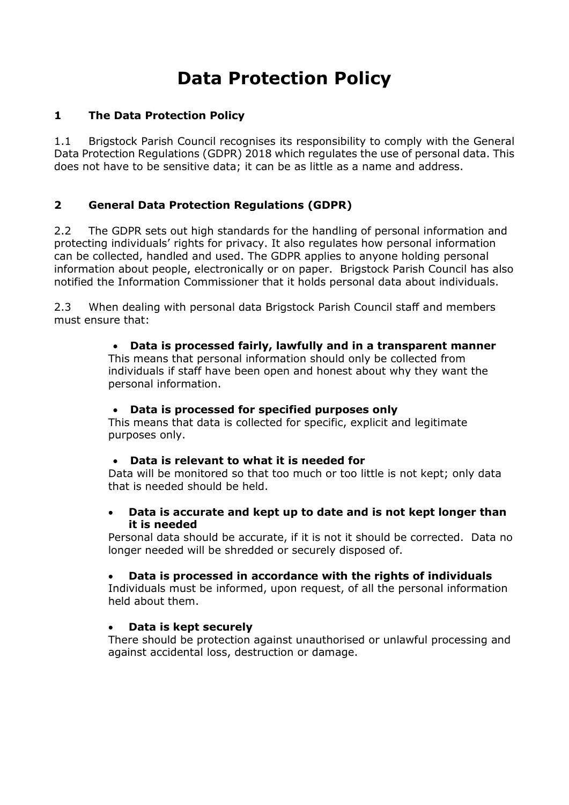# Data Protection Policy

### 1 The Data Protection Policy

1.1 Brigstock Parish Council recognises its responsibility to comply with the General Data Protection Regulations (GDPR) 2018 which regulates the use of personal data. This does not have to be sensitive data; it can be as little as a name and address.

# 2 General Data Protection Regulations (GDPR)

2.2 The GDPR sets out high standards for the handling of personal information and protecting individuals' rights for privacy. It also regulates how personal information can be collected, handled and used. The GDPR applies to anyone holding personal information about people, electronically or on paper. Brigstock Parish Council has also notified the Information Commissioner that it holds personal data about individuals.

2.3 When dealing with personal data Brigstock Parish Council staff and members must ensure that:

#### Data is processed fairly, lawfully and in a transparent manner

This means that personal information should only be collected from individuals if staff have been open and honest about why they want the personal information.

#### Data is processed for specified purposes only

This means that data is collected for specific, explicit and legitimate purposes only.

#### Data is relevant to what it is needed for

Data will be monitored so that too much or too little is not kept; only data that is needed should be held.

#### Data is accurate and kept up to date and is not kept longer than it is needed

Personal data should be accurate, if it is not it should be corrected. Data no longer needed will be shredded or securely disposed of.

# Data is processed in accordance with the rights of individuals

Individuals must be informed, upon request, of all the personal information held about them.

# Data is kept securely

There should be protection against unauthorised or unlawful processing and against accidental loss, destruction or damage.